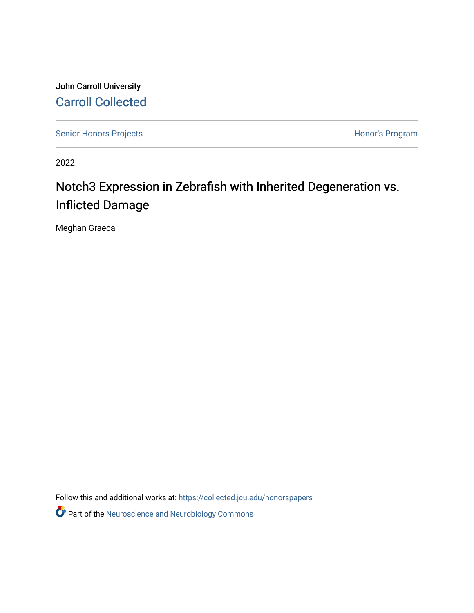John Carroll University [Carroll Collected](https://collected.jcu.edu/) 

[Senior Honors Projects](https://collected.jcu.edu/honorspapers) **Honor's Program** 

2022

# Notch3 Expression in Zebrafish with Inherited Degeneration vs. Inflicted Damage

Meghan Graeca

Follow this and additional works at: [https://collected.jcu.edu/honorspapers](https://collected.jcu.edu/honorspapers?utm_source=collected.jcu.edu%2Fhonorspapers%2F134&utm_medium=PDF&utm_campaign=PDFCoverPages)

Part of the [Neuroscience and Neurobiology Commons](https://network.bepress.com/hgg/discipline/55?utm_source=collected.jcu.edu%2Fhonorspapers%2F134&utm_medium=PDF&utm_campaign=PDFCoverPages)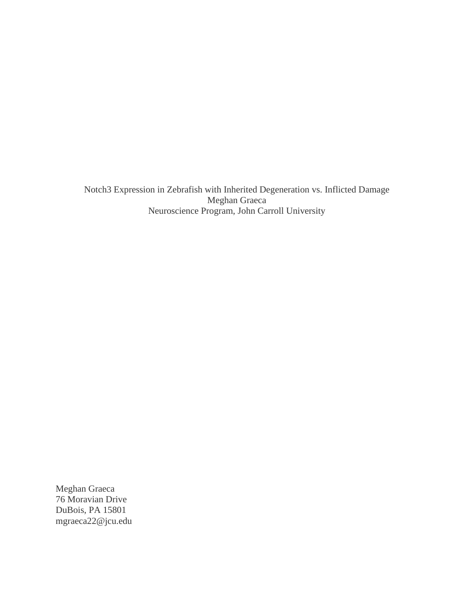Notch3 Expression in Zebrafish with Inherited Degeneration vs. Inflicted Damage Meghan Graeca Neuroscience Program, John Carroll University

Meghan Graeca 76 Moravian Drive DuBois, PA 15801 mgraeca22@jcu.edu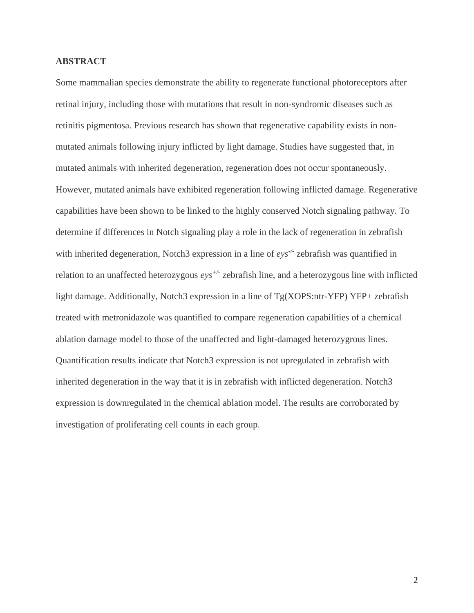### **ABSTRACT**

Some mammalian species demonstrate the ability to regenerate functional photoreceptors after retinal injury, including those with mutations that result in non-syndromic diseases such as retinitis pigmentosa. Previous research has shown that regenerative capability exists in nonmutated animals following injury inflicted by light damage. Studies have suggested that, in mutated animals with inherited degeneration, regeneration does not occur spontaneously. However, mutated animals have exhibited regeneration following inflicted damage. Regenerative capabilities have been shown to be linked to the highly conserved Notch signaling pathway. To determine if differences in Notch signaling play a role in the lack of regeneration in zebrafish with inherited degeneration, Notch3 expression in a line of *eys-/-* zebrafish was quantified in relation to an unaffected heterozygous *eys+/-* zebrafish line, and a heterozygous line with inflicted light damage. Additionally, Notch3 expression in a line of Tg(XOPS:ntr-YFP) YFP+ zebrafish treated with metronidazole was quantified to compare regeneration capabilities of a chemical ablation damage model to those of the unaffected and light-damaged heterozygrous lines. Quantification results indicate that Notch3 expression is not upregulated in zebrafish with inherited degeneration in the way that it is in zebrafish with inflicted degeneration. Notch3 expression is downregulated in the chemical ablation model. The results are corroborated by investigation of proliferating cell counts in each group.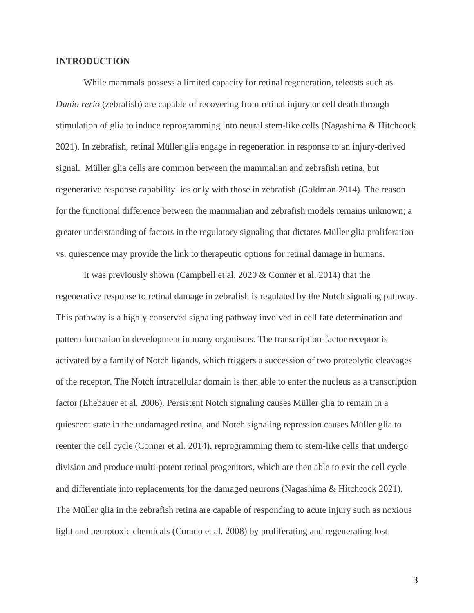### **INTRODUCTION**

While mammals possess a limited capacity for retinal regeneration, teleosts such as *Danio rerio* (zebrafish) are capable of recovering from retinal injury or cell death through stimulation of glia to induce reprogramming into neural stem-like cells (Nagashima & Hitchcock 2021). In zebrafish, retinal Müller glia engage in regeneration in response to an injury-derived signal. Müller glia cells are common between the mammalian and zebrafish retina, but regenerative response capability lies only with those in zebrafish (Goldman 2014). The reason for the functional difference between the mammalian and zebrafish models remains unknown; a greater understanding of factors in the regulatory signaling that dictates Müller glia proliferation vs. quiescence may provide the link to therapeutic options for retinal damage in humans.

It was previously shown (Campbell et al. 2020 & Conner et al. 2014) that the regenerative response to retinal damage in zebrafish is regulated by the Notch signaling pathway. This pathway is a highly conserved signaling pathway involved in cell fate determination and pattern formation in development in many organisms. The transcription-factor receptor is activated by a family of Notch ligands, which triggers a succession of two proteolytic cleavages of the receptor. The Notch intracellular domain is then able to enter the nucleus as a transcription factor (Ehebauer et al. 2006). Persistent Notch signaling causes Müller glia to remain in a quiescent state in the undamaged retina, and Notch signaling repression causes Müller glia to reenter the cell cycle (Conner et al. 2014), reprogramming them to stem-like cells that undergo division and produce multi-potent retinal progenitors, which are then able to exit the cell cycle and differentiate into replacements for the damaged neurons (Nagashima & Hitchcock 2021). The Müller glia in the zebrafish retina are capable of responding to acute injury such as noxious light and neurotoxic chemicals (Curado et al. 2008) by proliferating and regenerating lost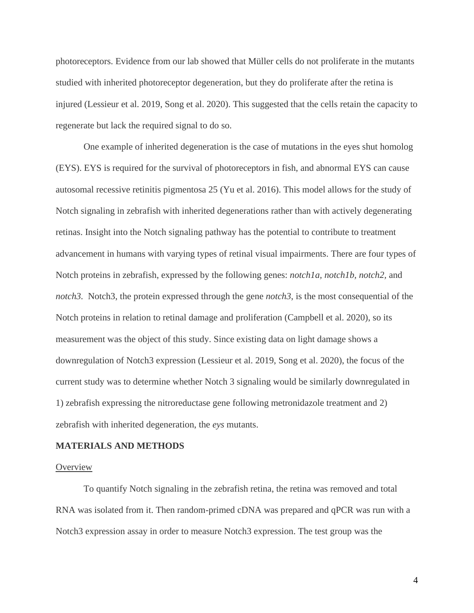photoreceptors. Evidence from our lab showed that Müller cells do not proliferate in the mutants studied with inherited photoreceptor degeneration, but they do proliferate after the retina is injured (Lessieur et al. 2019, Song et al. 2020). This suggested that the cells retain the capacity to regenerate but lack the required signal to do so.

One example of inherited degeneration is the case of mutations in the eyes shut homolog (EYS). EYS is required for the survival of photoreceptors in fish, and abnormal EYS can cause autosomal recessive retinitis pigmentosa 25 (Yu et al. 2016). This model allows for the study of Notch signaling in zebrafish with inherited degenerations rather than with actively degenerating retinas. Insight into the Notch signaling pathway has the potential to contribute to treatment advancement in humans with varying types of retinal visual impairments. There are four types of Notch proteins in zebrafish, expressed by the following genes: *notch1a, notch1b, notch2,* and *notch3.* Notch3, the protein expressed through the gene *notch3*, is the most consequential of the Notch proteins in relation to retinal damage and proliferation (Campbell et al. 2020), so its measurement was the object of this study. Since existing data on light damage shows a downregulation of Notch3 expression (Lessieur et al. 2019, Song et al. 2020), the focus of the current study was to determine whether Notch 3 signaling would be similarly downregulated in 1) zebrafish expressing the nitroreductase gene following metronidazole treatment and 2) zebrafish with inherited degeneration, the *eys* mutants.

#### **MATERIALS AND METHODS**

### **Overview**

To quantify Notch signaling in the zebrafish retina, the retina was removed and total RNA was isolated from it. Then random-primed cDNA was prepared and qPCR was run with a Notch3 expression assay in order to measure Notch3 expression. The test group was the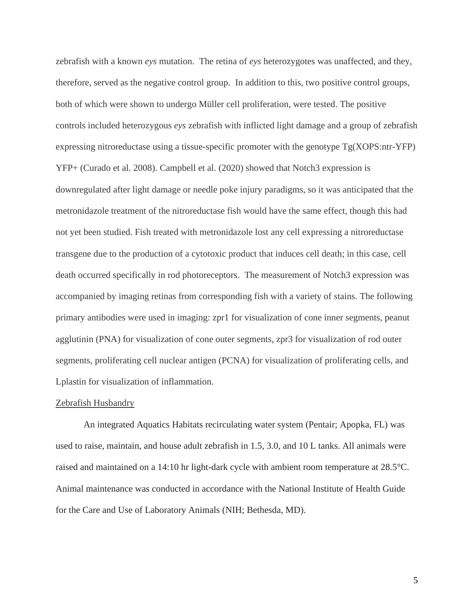zebrafish with a known *eys* mutation. The retina of *eys* heterozygotes was unaffected, and they, therefore, served as the negative control group. In addition to this, two positive control groups, both of which were shown to undergo Müller cell proliferation, were tested. The positive controls included heterozygous *eys* zebrafish with inflicted light damage and a group of zebrafish expressing nitroreductase using a tissue-specific promoter with the genotype Tg(XOPS:ntr-YFP) YFP+ (Curado et al. 2008). Campbell et al. (2020) showed that Notch3 expression is downregulated after light damage or needle poke injury paradigms, so it was anticipated that the metronidazole treatment of the nitroreductase fish would have the same effect, though this had not yet been studied. Fish treated with metronidazole lost any cell expressing a nitroreductase transgene due to the production of a cytotoxic product that induces cell death; in this case, cell death occurred specifically in rod photoreceptors. The measurement of Notch3 expression was accompanied by imaging retinas from corresponding fish with a variety of stains. The following primary antibodies were used in imaging: zpr1 for visualization of cone inner segments, peanut agglutinin (PNA) for visualization of cone outer segments, zpr3 for visualization of rod outer segments, proliferating cell nuclear antigen (PCNA) for visualization of proliferating cells, and Lplastin for visualization of inflammation.

### Zebrafish Husbandry

An integrated Aquatics Habitats recirculating water system (Pentair; Apopka, FL) was used to raise, maintain, and house adult zebrafish in 1.5, 3.0, and 10 L tanks. All animals were raised and maintained on a 14:10 hr light-dark cycle with ambient room temperature at 28.5°C. Animal maintenance was conducted in accordance with the National Institute of Health Guide for the Care and Use of Laboratory Animals (NIH; Bethesda, MD).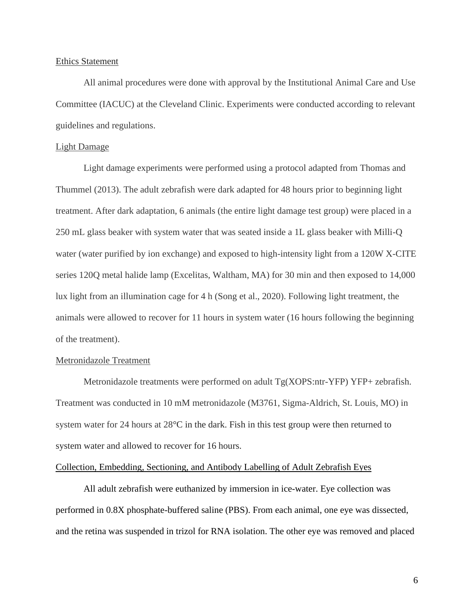### Ethics Statement

All animal procedures were done with approval by the Institutional Animal Care and Use Committee (IACUC) at the Cleveland Clinic. Experiments were conducted according to relevant guidelines and regulations.

### Light Damage

Light damage experiments were performed using a protocol adapted from Thomas and Thummel (2013). The adult zebrafish were dark adapted for 48 hours prior to beginning light treatment. After dark adaptation, 6 animals (the entire light damage test group) were placed in a 250 mL glass beaker with system water that was seated inside a 1L glass beaker with Milli-Q water (water purified by ion exchange) and exposed to high-intensity light from a 120W X-CITE series 120Q metal halide lamp (Excelitas, Waltham, MA) for 30 min and then exposed to 14,000 lux light from an illumination cage for 4 h (Song et al., 2020). Following light treatment, the animals were allowed to recover for 11 hours in system water (16 hours following the beginning of the treatment).

### Metronidazole Treatment

Metronidazole treatments were performed on adult  $Tg(XOPS:ntr-YFP)$  YFP+ zebrafish. Treatment was conducted in 10 mM metronidazole (M3761, Sigma-Aldrich, St. Louis, MO) in system water for 24 hours at 28°C in the dark. Fish in this test group were then returned to system water and allowed to recover for 16 hours.

#### Collection, Embedding, Sectioning, and Antibody Labelling of Adult Zebrafish Eyes

All adult zebrafish were euthanized by immersion in ice-water. Eye collection was performed in 0.8X phosphate-buffered saline (PBS). From each animal, one eye was dissected, and the retina was suspended in trizol for RNA isolation. The other eye was removed and placed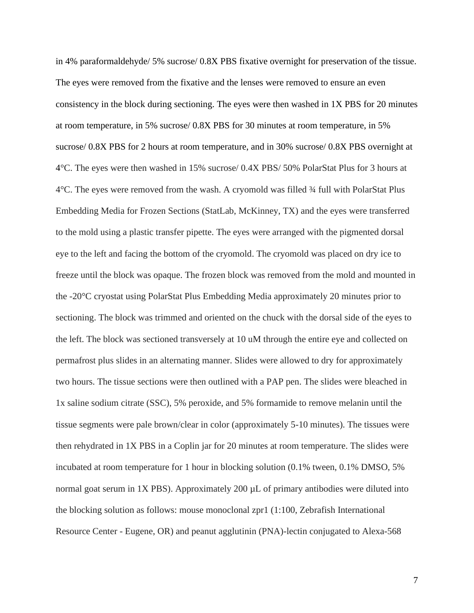in 4% paraformaldehyde/ 5% sucrose/ 0.8X PBS fixative overnight for preservation of the tissue. The eyes were removed from the fixative and the lenses were removed to ensure an even consistency in the block during sectioning. The eyes were then washed in 1X PBS for 20 minutes at room temperature, in 5% sucrose/ 0.8X PBS for 30 minutes at room temperature, in 5% sucrose/ 0.8X PBS for 2 hours at room temperature, and in 30% sucrose/ 0.8X PBS overnight at 4°C. The eyes were then washed in 15% sucrose/ 0.4X PBS/ 50% PolarStat Plus for 3 hours at 4°C. The eyes were removed from the wash. A cryomold was filled ¾ full with PolarStat Plus Embedding Media for Frozen Sections (StatLab, McKinney, TX) and the eyes were transferred to the mold using a plastic transfer pipette. The eyes were arranged with the pigmented dorsal eye to the left and facing the bottom of the cryomold. The cryomold was placed on dry ice to freeze until the block was opaque. The frozen block was removed from the mold and mounted in the -20°C cryostat using PolarStat Plus Embedding Media approximately 20 minutes prior to sectioning. The block was trimmed and oriented on the chuck with the dorsal side of the eyes to the left. The block was sectioned transversely at 10 uM through the entire eye and collected on permafrost plus slides in an alternating manner. Slides were allowed to dry for approximately two hours. The tissue sections were then outlined with a PAP pen. The slides were bleached in 1x saline sodium citrate (SSC), 5% peroxide, and 5% formamide to remove melanin until the tissue segments were pale brown/clear in color (approximately 5-10 minutes). The tissues were then rehydrated in 1X PBS in a Coplin jar for 20 minutes at room temperature. The slides were incubated at room temperature for 1 hour in blocking solution (0.1% tween, 0.1% DMSO, 5% normal goat serum in 1X PBS). Approximately 200 µL of primary antibodies were diluted into the blocking solution as follows: mouse monoclonal zpr1 (1:100, Zebrafish International Resource Center - Eugene, OR) and peanut agglutinin (PNA)-lectin conjugated to Alexa-568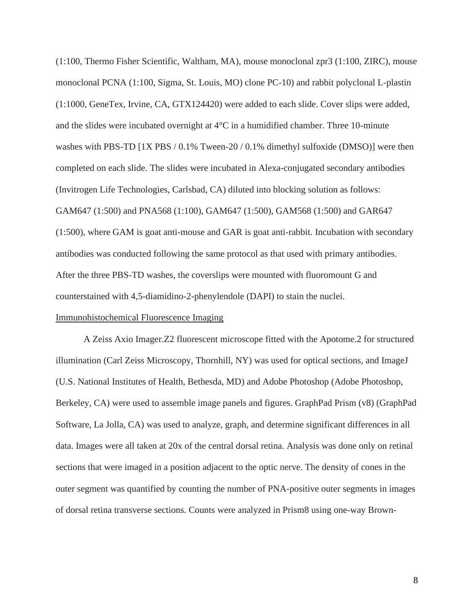(1:100, Thermo Fisher Scientific, Waltham, MA), mouse monoclonal zpr3 (1:100, ZIRC), mouse monoclonal PCNA (1:100, Sigma, St. Louis, MO) clone PC-10) and rabbit polyclonal L-plastin (1:1000, GeneTex, Irvine, CA, GTX124420) were added to each slide. Cover slips were added, and the slides were incubated overnight at 4°C in a humidified chamber. Three 10-minute washes with PBS-TD [1X PBS / 0.1% Tween-20 / 0.1% dimethyl sulfoxide (DMSO)] were then completed on each slide. The slides were incubated in Alexa-conjugated secondary antibodies (Invitrogen Life Technologies, Carlsbad, CA) diluted into blocking solution as follows: GAM647 (1:500) and PNA568 (1:100), GAM647 (1:500), GAM568 (1:500) and GAR647 (1:500), where GAM is goat anti-mouse and GAR is goat anti-rabbit. Incubation with secondary antibodies was conducted following the same protocol as that used with primary antibodies. After the three PBS-TD washes, the coverslips were mounted with fluoromount G and counterstained with 4,5-diamidino-2-phenylendole (DAPI) to stain the nuclei.

### Immunohistochemical Fluorescence Imaging

A Zeiss Axio Imager.Z2 fluorescent microscope fitted with the Apotome.2 for structured illumination (Carl Zeiss Microscopy, Thornhill, NY) was used for optical sections, and ImageJ (U.S. National Institutes of Health, Bethesda, MD) and Adobe Photoshop (Adobe Photoshop, Berkeley, CA) were used to assemble image panels and figures. GraphPad Prism (v8) (GraphPad Software, La Jolla, CA) was used to analyze, graph, and determine significant differences in all data. Images were all taken at 20x of the central dorsal retina. Analysis was done only on retinal sections that were imaged in a position adjacent to the optic nerve. The density of cones in the outer segment was quantified by counting the number of PNA-positive outer segments in images of dorsal retina transverse sections. Counts were analyzed in Prism8 using one-way Brown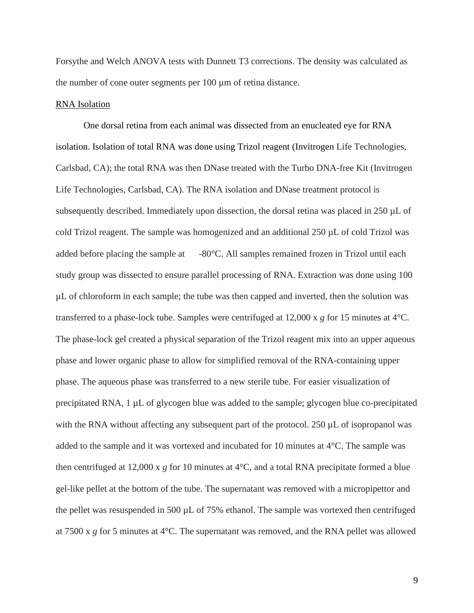Forsythe and Welch ANOVA tests with Dunnett T3 corrections. The density was calculated as the number of cone outer segments per 100 µm of retina distance.

### RNA Isolation

One dorsal retina from each animal was dissected from an enucleated eye for RNA isolation. Isolation of total RNA was done using Trizol reagent (Invitrogen Life Technologies, Carlsbad, CA); the total RNA was then DNase treated with the Turbo DNA-free Kit (Invitrogen Life Technologies, Carlsbad, CA). The RNA isolation and DNase treatment protocol is subsequently described. Immediately upon dissection, the dorsal retina was placed in  $250 \mu L$  of cold Trizol reagent. The sample was homogenized and an additional 250 µL of cold Trizol was added before placing the sample at -80°C. All samples remained frozen in Trizol until each study group was dissected to ensure parallel processing of RNA. Extraction was done using 100 µL of chloroform in each sample; the tube was then capped and inverted, then the solution was transferred to a phase-lock tube. Samples were centrifuged at 12,000 x *g* for 15 minutes at 4°C. The phase-lock gel created a physical separation of the Trizol reagent mix into an upper aqueous phase and lower organic phase to allow for simplified removal of the RNA-containing upper phase. The aqueous phase was transferred to a new sterile tube. For easier visualization of precipitated RNA, 1 µL of glycogen blue was added to the sample; glycogen blue co-precipitated with the RNA without affecting any subsequent part of the protocol. 250  $\mu$ L of isopropanol was added to the sample and it was vortexed and incubated for 10 minutes at 4°C. The sample was then centrifuged at 12,000 x *g* for 10 minutes at 4°C, and a total RNA precipitate formed a blue gel-like pellet at the bottom of the tube. The supernatant was removed with a micropipettor and the pellet was resuspended in 500 µL of 75% ethanol. The sample was vortexed then centrifuged at 7500 x *g* for 5 minutes at 4°C. The supernatant was removed, and the RNA pellet was allowed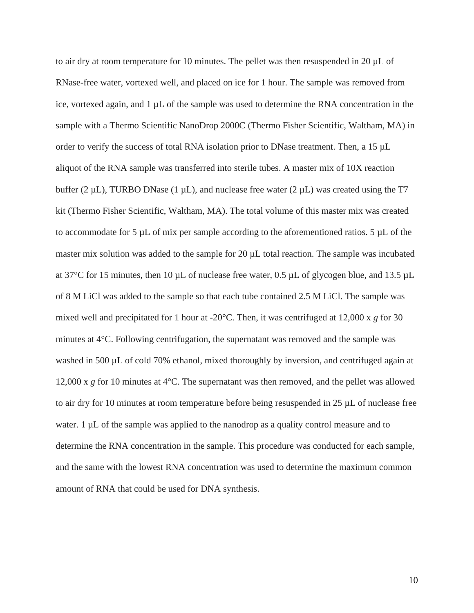to air dry at room temperature for 10 minutes. The pellet was then resuspended in 20  $\mu$ L of RNase-free water, vortexed well, and placed on ice for 1 hour. The sample was removed from ice, vortexed again, and  $1 \mu L$  of the sample was used to determine the RNA concentration in the sample with a Thermo Scientific NanoDrop 2000C (Thermo Fisher Scientific, Waltham, MA) in order to verify the success of total RNA isolation prior to DNase treatment. Then, a 15  $\mu$ L aliquot of the RNA sample was transferred into sterile tubes. A master mix of 10X reaction buffer (2  $\mu$ L), TURBO DNase (1  $\mu$ L), and nuclease free water (2  $\mu$ L) was created using the T7 kit (Thermo Fisher Scientific, Waltham, MA). The total volume of this master mix was created to accommodate for 5 µL of mix per sample according to the aforementioned ratios. 5 µL of the master mix solution was added to the sample for 20  $\mu$ L total reaction. The sample was incubated at 37 $\degree$ C for 15 minutes, then 10 µL of nuclease free water, 0.5 µL of glycogen blue, and 13.5 µL of 8 M LiCl was added to the sample so that each tube contained 2.5 M LiCl. The sample was mixed well and precipitated for 1 hour at -20°C. Then, it was centrifuged at 12,000 x *g* for 30 minutes at 4°C. Following centrifugation, the supernatant was removed and the sample was washed in 500  $\mu$ L of cold 70% ethanol, mixed thoroughly by inversion, and centrifuged again at 12,000 x *g* for 10 minutes at 4°C. The supernatant was then removed, and the pellet was allowed to air dry for 10 minutes at room temperature before being resuspended in 25 µL of nuclease free water.  $1 \mu L$  of the sample was applied to the nanodrop as a quality control measure and to determine the RNA concentration in the sample. This procedure was conducted for each sample, and the same with the lowest RNA concentration was used to determine the maximum common amount of RNA that could be used for DNA synthesis.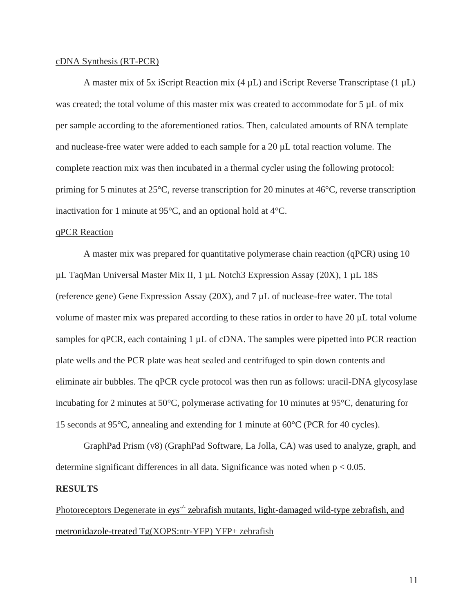#### cDNA Synthesis (RT-PCR)

A master mix of 5x iScript Reaction mix  $(4 \mu L)$  and iScript Reverse Transcriptase  $(1 \mu L)$ was created; the total volume of this master mix was created to accommodate for 5  $\mu$ L of mix per sample according to the aforementioned ratios. Then, calculated amounts of RNA template and nuclease-free water were added to each sample for a 20 µL total reaction volume. The complete reaction mix was then incubated in a thermal cycler using the following protocol: priming for 5 minutes at 25°C, reverse transcription for 20 minutes at 46°C, reverse transcription inactivation for 1 minute at 95°C, and an optional hold at 4°C.

### qPCR Reaction

A master mix was prepared for quantitative polymerase chain reaction (qPCR) using 10 µL TaqMan Universal Master Mix II, 1 µL Notch3 Expression Assay (20X), 1 µL 18S (reference gene) Gene Expression Assay (20X), and 7 µL of nuclease-free water. The total volume of master mix was prepared according to these ratios in order to have 20 µL total volume samples for qPCR, each containing 1  $\mu$ L of cDNA. The samples were pipetted into PCR reaction plate wells and the PCR plate was heat sealed and centrifuged to spin down contents and eliminate air bubbles. The qPCR cycle protocol was then run as follows: uracil-DNA glycosylase incubating for 2 minutes at 50°C, polymerase activating for 10 minutes at 95°C, denaturing for 15 seconds at 95°C, annealing and extending for 1 minute at 60°C (PCR for 40 cycles).

GraphPad Prism (v8) (GraphPad Software, La Jolla, CA) was used to analyze, graph, and determine significant differences in all data. Significance was noted when p < 0.05.

#### **RESULTS**

Photoreceptors Degenerate in *eys<sup>-/-</sup>* zebrafish mutants, light-damaged wild-type zebrafish, and metronidazole-treated Tg(XOPS:ntr-YFP) YFP+ zebrafish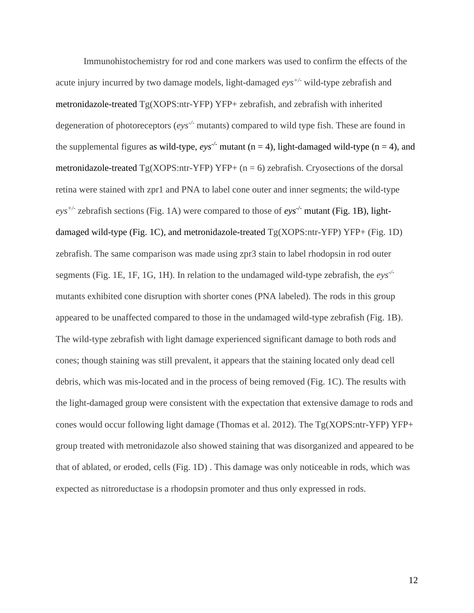Immunohistochemistry for rod and cone markers was used to confirm the effects of the acute injury incurred by two damage models, light-damaged *eys+/-* wild-type zebrafish and metronidazole-treated Tg(XOPS:ntr-YFP) YFP+ zebrafish, and zebrafish with inherited degeneration of photoreceptors (*eys-/-* mutants) compared to wild type fish. These are found in the supplemental figures as wild-type,  $eys^{-t}$  mutant (n = 4), light-damaged wild-type (n = 4), and metronidazole-treated  $Tg(XOPS:ntr-YFP) YFP+(n=6)$  zebrafish. Cryosections of the dorsal retina were stained with zpr1 and PNA to label cone outer and inner segments; the wild-type *eys+/-* zebrafish sections (Fig. 1A) were compared to those of *eys-/-* mutant (Fig. 1B), lightdamaged wild-type (Fig. 1C), and metronidazole-treated Tg(XOPS:ntr-YFP) YFP+ (Fig. 1D) zebrafish. The same comparison was made using zpr3 stain to label rhodopsin in rod outer segments (Fig. 1E, 1F, 1G, 1H). In relation to the undamaged wild-type zebrafish, the *eys-/* mutants exhibited cone disruption with shorter cones (PNA labeled). The rods in this group appeared to be unaffected compared to those in the undamaged wild-type zebrafish (Fig. 1B). The wild-type zebrafish with light damage experienced significant damage to both rods and cones; though staining was still prevalent, it appears that the staining located only dead cell debris, which was mis-located and in the process of being removed (Fig. 1C). The results with the light-damaged group were consistent with the expectation that extensive damage to rods and cones would occur following light damage (Thomas et al. 2012). The Tg(XOPS:ntr-YFP) YFP+ group treated with metronidazole also showed staining that was disorganized and appeared to be that of ablated, or eroded, cells (Fig. 1D) . This damage was only noticeable in rods, which was expected as nitroreductase is a rhodopsin promoter and thus only expressed in rods.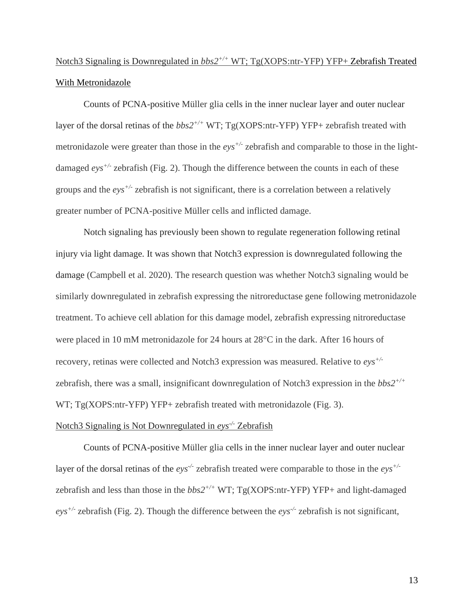## Notch3 Signaling is Downregulated in *bbs2+/+* WT; Tg(XOPS:ntr-YFP) YFP+ Zebrafish Treated With Metronidazole

Counts of PCNA-positive Müller glia cells in the inner nuclear layer and outer nuclear layer of the dorsal retinas of the  $bbs2^{+/+}$  WT; Tg(XOPS:ntr-YFP) YFP+ zebrafish treated with metronidazole were greater than those in the *eys+/-* zebrafish and comparable to those in the lightdamaged *eys+/-* zebrafish (Fig. 2). Though the difference between the counts in each of these groups and the *eys+/-* zebrafish is not significant, there is a correlation between a relatively greater number of PCNA-positive Müller cells and inflicted damage.

Notch signaling has previously been shown to regulate regeneration following retinal injury via light damage. It was shown that Notch3 expression is downregulated following the damage (Campbell et al. 2020). The research question was whether Notch3 signaling would be similarly downregulated in zebrafish expressing the nitroreductase gene following metronidazole treatment. To achieve cell ablation for this damage model, zebrafish expressing nitroreductase were placed in 10 mM metronidazole for 24 hours at  $28^{\circ}$ C in the dark. After 16 hours of recovery, retinas were collected and Notch3 expression was measured. Relative to *eys+/* zebrafish, there was a small, insignificant downregulation of Notch3 expression in the *bbs2+/+* WT; Tg(XOPS:ntr-YFP) YFP+ zebrafish treated with metronidazole (Fig. 3).

### Notch3 Signaling is Not Downregulated in *eys-/-* Zebrafish

Counts of PCNA-positive Müller glia cells in the inner nuclear layer and outer nuclear layer of the dorsal retinas of the *eys<sup>-/-</sup>* zebrafish treated were comparable to those in the *eys*<sup>+/-</sup> zebrafish and less than those in the  $bbs2^{+/+}$  WT; Tg(XOPS:ntr-YFP) YFP+ and light-damaged *eys+/-* zebrafish (Fig. 2). Though the difference between the *eys-/-* zebrafish is not significant,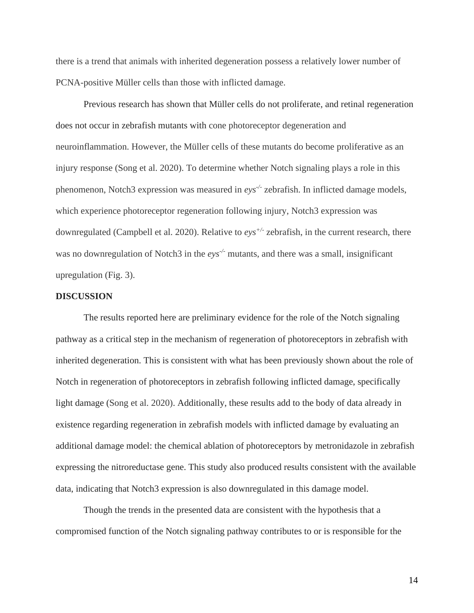there is a trend that animals with inherited degeneration possess a relatively lower number of PCNA-positive Müller cells than those with inflicted damage.

Previous research has shown that Müller cells do not proliferate, and retinal regeneration does not occur in zebrafish mutants with cone photoreceptor degeneration and neuroinflammation. However, the Müller cells of these mutants do become proliferative as an injury response (Song et al. 2020). To determine whether Notch signaling plays a role in this phenomenon, Notch3 expression was measured in *eys-/-* zebrafish. In inflicted damage models, which experience photoreceptor regeneration following injury, Notch3 expression was downregulated (Campbell et al. 2020). Relative to *eys+/-* zebrafish, in the current research, there was no downregulation of Notch3 in the *eys<sup>-/-</sup>* mutants, and there was a small, insignificant upregulation (Fig. 3).

### **DISCUSSION**

The results reported here are preliminary evidence for the role of the Notch signaling pathway as a critical step in the mechanism of regeneration of photoreceptors in zebrafish with inherited degeneration. This is consistent with what has been previously shown about the role of Notch in regeneration of photoreceptors in zebrafish following inflicted damage, specifically light damage (Song et al. 2020). Additionally, these results add to the body of data already in existence regarding regeneration in zebrafish models with inflicted damage by evaluating an additional damage model: the chemical ablation of photoreceptors by metronidazole in zebrafish expressing the nitroreductase gene. This study also produced results consistent with the available data, indicating that Notch3 expression is also downregulated in this damage model.

Though the trends in the presented data are consistent with the hypothesis that a compromised function of the Notch signaling pathway contributes to or is responsible for the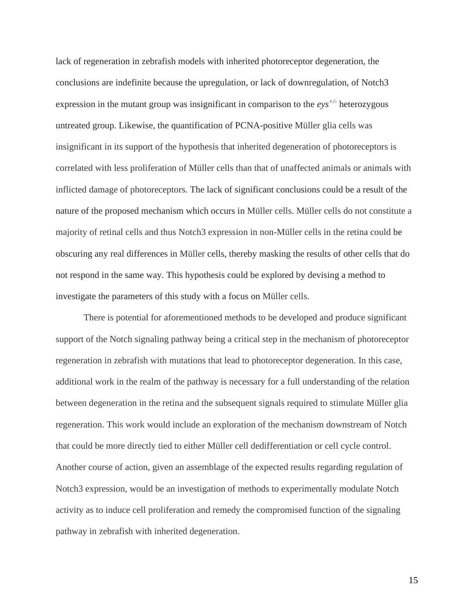lack of regeneration in zebrafish models with inherited photoreceptor degeneration, the conclusions are indefinite because the upregulation, or lack of downregulation, of Notch3 expression in the mutant group was insignificant in comparison to the *eys+/-* heterozygous untreated group. Likewise, the quantification of PCNA-positive Müller glia cells was insignificant in its support of the hypothesis that inherited degeneration of photoreceptors is correlated with less proliferation of Müller cells than that of unaffected animals or animals with inflicted damage of photoreceptors. The lack of significant conclusions could be a result of the nature of the proposed mechanism which occurs in Müller cells. Müller cells do not constitute a majority of retinal cells and thus Notch3 expression in non-Müller cells in the retina could be obscuring any real differences in Müller cells, thereby masking the results of other cells that do not respond in the same way. This hypothesis could be explored by devising a method to investigate the parameters of this study with a focus on Müller cells.

There is potential for aforementioned methods to be developed and produce significant support of the Notch signaling pathway being a critical step in the mechanism of photoreceptor regeneration in zebrafish with mutations that lead to photoreceptor degeneration. In this case, additional work in the realm of the pathway is necessary for a full understanding of the relation between degeneration in the retina and the subsequent signals required to stimulate Müller glia regeneration. This work would include an exploration of the mechanism downstream of Notch that could be more directly tied to either Müller cell dedifferentiation or cell cycle control. Another course of action, given an assemblage of the expected results regarding regulation of Notch3 expression, would be an investigation of methods to experimentally modulate Notch activity as to induce cell proliferation and remedy the compromised function of the signaling pathway in zebrafish with inherited degeneration.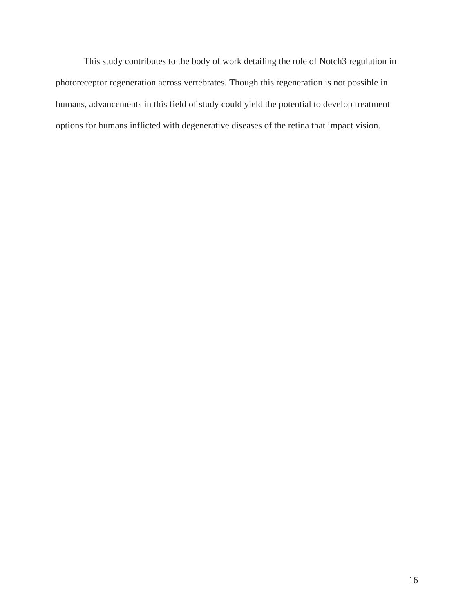This study contributes to the body of work detailing the role of Notch3 regulation in photoreceptor regeneration across vertebrates. Though this regeneration is not possible in humans, advancements in this field of study could yield the potential to develop treatment options for humans inflicted with degenerative diseases of the retina that impact vision.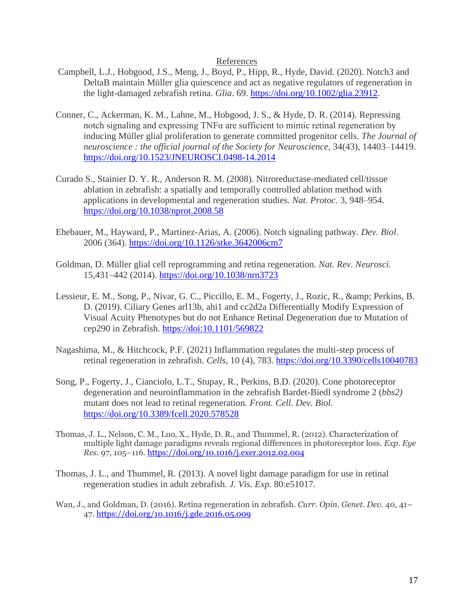### References

- Campbell, L.J., Hobgood, J.S., Meng, J., Boyd, P., Hipp, R., Hyde, David. (2020). Notch3 and DeltaB maintain Müller glia quiescence and act as negative regulators of regeneration in the light-damaged zebrafish retina. *Glia*. 69. [https://doi.org/10.1002/glia.23912.](https://doi.org/10.1002/glia.23912)
- Conner, C., Ackerman, K. M., Lahne, M., Hobgood, J. S., & Hyde, D. R. (2014). Repressing notch signaling and expressing TNFα are sufficient to mimic retinal regeneration by inducing Müller glial proliferation to generate committed progenitor cells. *The Journal of neuroscience : the official journal of the Society for Neuroscience*, 34(43), 14403–14419. <https://doi.org/10.1523/JNEUROSCI.0498-14.2014>
- Curado S., Stainier D. Y. R., Anderson R. M. (2008). Nitroreductase-mediated cell/tissue ablation in zebrafish: a spatially and temporally controlled ablation method with applications in developmental and regeneration studies. *Nat. Protoc.* 3, 948–954. <https://doi.org/10.1038/nprot.2008.58>
- Ehebauer, M., Hayward, P., Martinez-Arias, A. (2006). Notch signaling pathway. *Dev. Biol*. 2006 (364).<https://doi.org/10.1126/stke.3642006cm7>
- Goldman, D. Müller glial cell reprogramming and retina regeneration. *Nat. Rev. Neurosci.* 15,431–442 (2014).<https://doi.org/10.1038/nrn3723>
- Lessieur, E. M., Song, P., Nivar, G. C., Piccillo, E. M., Fogerty, J., Rozic, R., & amp; Perkins, B. D. (2019). Ciliary Genes arl13b, ahi1 and cc2d2a Differentially Modify Expression of Visual Acuity Phenotypes but do not Enhance Retinal Degeneration due to Mutation of cep290 in Zebrafish.<https://doi:10.1101/569822>
- Nagashima, M., & Hitchcock, P.F. (2021) Inflammation regulates the multi-step process of retinal regeneration in zebrafish. *Cells*, 10 (4), 783.<https://doi.org/10.3390/cells10040783>
- Song, P., Fogerty, J., Cianciolo, L.T., Stupay, R., Perkins, B.D. (2020). Cone photoreceptor degeneration and neuroinflammation in the zebrafish Bardet-Biedl syndrome 2 (*bbs2)* mutant does not lead to retinal regeneration*. Front. Cell. Dev. Biol.* <https://doi.org/10.3389/fcell.2020.578528>
- Thomas, J. L., Nelson, C. M., Luo, X., Hyde, D. R., and Thummel, R. (2012). Characterization of multiple light damage paradigms reveals regional differences in photoreceptor loss. *Exp. Eye Res.* 97, 105–116.<https://doi.org/10.1016/j.exer.2012.02.004>
- Thomas, J. L., and Thummel, R. (2013). A novel light damage paradigm for use in retinal regeneration studies in adult zebrafish. *J. Vis. Exp.* 80:e51017.
- Wan, J., and Goldman, D. (2016). Retina regeneration in zebrafish. *Curr. Opin. Genet. Dev.* 40, 41– 47[. https://doi.org/10.1016/j.gde.2016.05.009](https://doi.org/10.1016/j.gde.2016.05.009)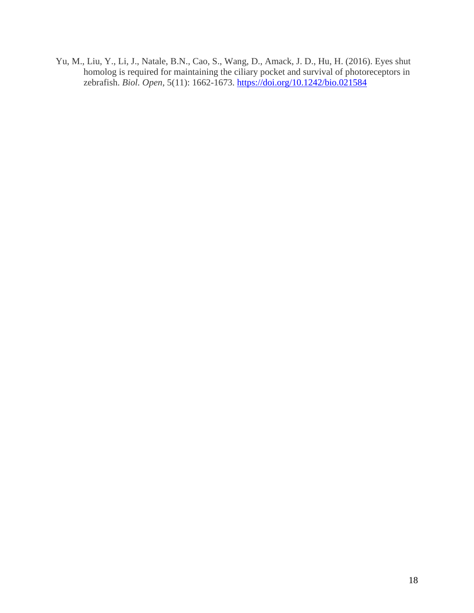Yu, M., Liu, Y., Li, J., Natale, B.N., Cao, S., Wang, D., Amack, J. D., Hu, H. (2016). Eyes shut homolog is required for maintaining the ciliary pocket and survival of photoreceptors in zebrafish. *Biol. Open*, 5(11): 1662-1673.<https://doi.org/10.1242/bio.021584>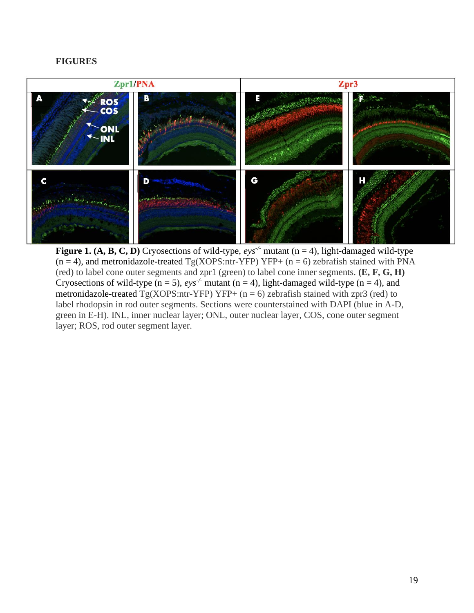### **FIGURES**



**Figure 1. (A, B, C, D) Cryosections of wild-type,**  $eys'$  **mutant (n = 4), light-damaged wild-type**  $(n = 4)$ , and metronidazole-treated Tg(XOPS:ntr-YFP) YFP+  $(n = 6)$  zebrafish stained with PNA (red) to label cone outer segments and zpr1 (green) to label cone inner segments. **(E, F, G, H)** Cryosections of wild-type  $(n = 5)$ ,  $e^{y}$  mutant  $(n = 4)$ , light-damaged wild-type  $(n = 4)$ , and metronidazole-treated  $Tg(XOPS:ntr-YFP) YFP+(n = 6)$  zebrafish stained with zpr3 (red) to label rhodopsin in rod outer segments. Sections were counterstained with DAPI (blue in A-D, green in E-H). INL, inner nuclear layer; ONL, outer nuclear layer, COS, cone outer segment layer; ROS, rod outer segment layer.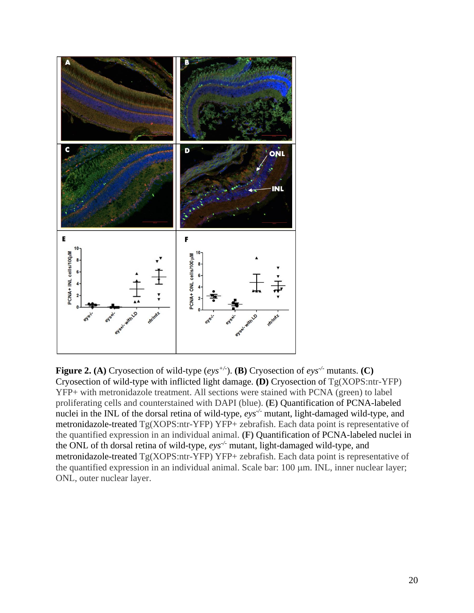

**Figure 2.** (A) Cryosection of wild-type  $(e^{y}y^{+/-})$ . (B) Cryosection of  $e^{y}y^{+/-}$  mutants. (C) Cryosection of wild-type with inflicted light damage. **(D)** Cryosection of Tg(XOPS:ntr-YFP) YFP+ with metronidazole treatment. All sections were stained with PCNA (green) to label proliferating cells and counterstained with DAPI (blue). **(E)** Quantification of PCNA-labeled nuclei in the INL of the dorsal retina of wild-type,  $eys^{\prime}$  mutant, light-damaged wild-type, and metronidazole-treated Tg(XOPS:ntr-YFP) YFP+ zebrafish. Each data point is representative of the quantified expression in an individual animal. **(F)** Quantification of PCNA-labeled nuclei in the ONL of th dorsal retina of wild-type, *eys-/-* mutant, light-damaged wild-type, and metronidazole-treated Tg(XOPS:ntr-YFP) YFP+ zebrafish. Each data point is representative of the quantified expression in an individual animal. Scale bar: 100  $\mu$ m. INL, inner nuclear layer; ONL, outer nuclear layer.